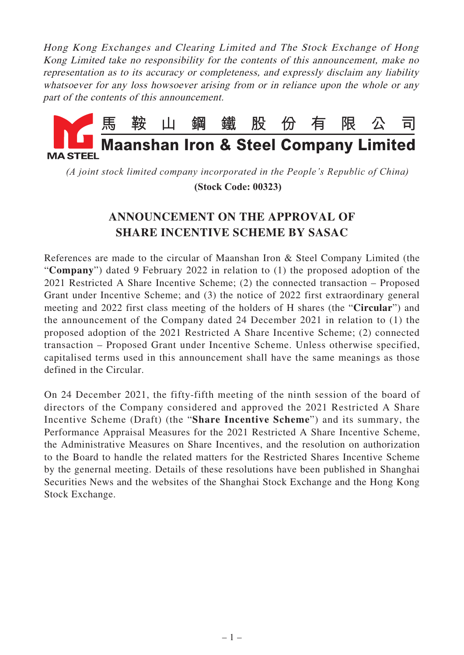Hong Kong Exchanges and Clearing Limited and The Stock Exchange of Hong Kong Limited take no responsibility for the contents of this announcement, make no representation as to its accuracy or completeness, and expressly disclaim any liability whatsoever for any loss howsoever arising from or in reliance upon the whole or any part of the contents of this announcement.



*(A joint stock limited company incorporated in the People's Republic of China)*

 **(Stock Code: 00323)**

## **ANNOUNCEMENT ON THE APPROVAL OF SHARE INCENTIVE SCHEME BY SASAC**

References are made to the circular of Maanshan Iron & Steel Company Limited (the "**Company**") dated 9 February 2022 in relation to (1) the proposed adoption of the 2021 Restricted A Share Incentive Scheme; (2) the connected transaction – Proposed Grant under Incentive Scheme; and (3) the notice of 2022 first extraordinary general meeting and 2022 first class meeting of the holders of H shares (the "**Circular**") and the announcement of the Company dated 24 December 2021 in relation to (1) the proposed adoption of the 2021 Restricted A Share Incentive Scheme; (2) connected transaction – Proposed Grant under Incentive Scheme. Unless otherwise specified, capitalised terms used in this announcement shall have the same meanings as those defined in the Circular.

On 24 December 2021, the fifty-fifth meeting of the ninth session of the board of directors of the Company considered and approved the 2021 Restricted A Share Incentive Scheme (Draft) (the "**Share Incentive Scheme**") and its summary, the Performance Appraisal Measures for the 2021 Restricted A Share Incentive Scheme, the Administrative Measures on Share Incentives, and the resolution on authorization to the Board to handle the related matters for the Restricted Shares Incentive Scheme by the genernal meeting. Details of these resolutions have been published in Shanghai Securities News and the websites of the Shanghai Stock Exchange and the Hong Kong Stock Exchange.